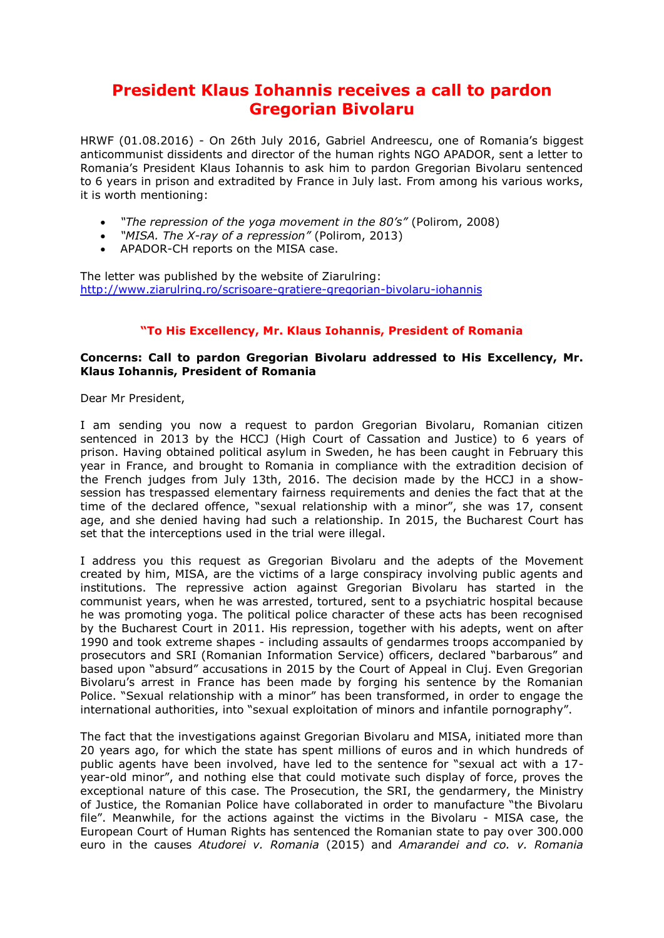## **President Klaus Iohannis receives a call to pardon Gregorian Bivolaru**

HRWF (01.08.2016) - On 26th July 2016, Gabriel Andreescu, one of Romania's biggest anticommunist dissidents and director of the human rights NGO APADOR, sent a letter to Romania's President Klaus Iohannis to ask him to pardon Gregorian Bivolaru sentenced to 6 years in prison and extradited by France in July last. From among his various works, it is worth mentioning:

- *"The repression of the yoga movement in the 80's"* (Polirom, 2008)
- *"MISA. The X-ray of a repression"* (Polirom, 2013)
- APADOR-CH reports on the MISA case.

The letter was published by the website of Ziarulring: <http://www.ziarulring.ro/scrisoare-gratiere-gregorian-bivolaru-iohannis>

## **"To His Excellency, Mr. Klaus Iohannis, President of Romania**

## **Concerns: Call to pardon Gregorian Bivolaru addressed to His Excellency, Mr. Klaus Iohannis, President of Romania**

Dear Mr President,

I am sending you now a request to pardon Gregorian Bivolaru, Romanian citizen sentenced in 2013 by the HCCJ (High Court of Cassation and Justice) to 6 years of prison. Having obtained political asylum in Sweden, he has been caught in February this year in France, and brought to Romania in compliance with the extradition decision of the French judges from July 13th, 2016. The decision made by the HCCJ in a showsession has trespassed elementary fairness requirements and denies the fact that at the time of the declared offence, "sexual relationship with a minor", she was 17, consent age, and she denied having had such a relationship. In 2015, the Bucharest Court has set that the interceptions used in the trial were illegal.

I address you this request as Gregorian Bivolaru and the adepts of the Movement created by him, MISA, are the victims of a large conspiracy involving public agents and institutions. The repressive action against Gregorian Bivolaru has started in the communist years, when he was arrested, tortured, sent to a psychiatric hospital because he was promoting yoga. The political police character of these acts has been recognised by the Bucharest Court in 2011. His repression, together with his adepts, went on after 1990 and took extreme shapes - including assaults of gendarmes troops accompanied by prosecutors and SRI (Romanian Information Service) officers, declared "barbarous" and based upon "absurd" accusations in 2015 by the Court of Appeal in Cluj. Even Gregorian Bivolaru's arrest in France has been made by forging his sentence by the Romanian Police. "Sexual relationship with a minor" has been transformed, in order to engage the international authorities, into "sexual exploitation of minors and infantile pornography".

The fact that the investigations against Gregorian Bivolaru and MISA, initiated more than 20 years ago, for which the state has spent millions of euros and in which hundreds of public agents have been involved, have led to the sentence for "sexual act with a 17 year-old minor", and nothing else that could motivate such display of force, proves the exceptional nature of this case. The Prosecution, the SRI, the gendarmery, the Ministry of Justice, the Romanian Police have collaborated in order to manufacture "the Bivolaru file". Meanwhile, for the actions against the victims in the Bivolaru - MISA case, the European Court of Human Rights has sentenced the Romanian state to pay over 300.000 euro in the causes *Atudorei v. Romania* (2015) and *Amarandei and co. v. Romania*